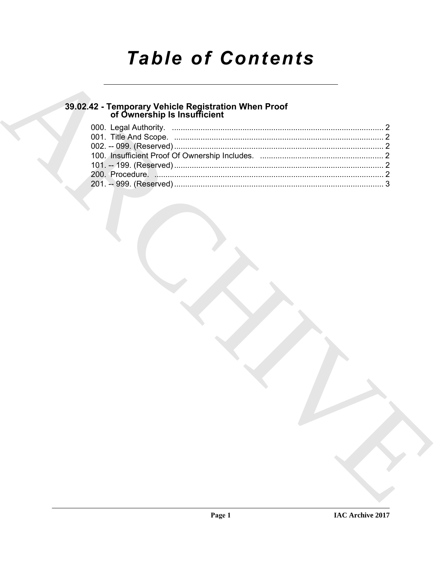# **Table of Contents**

# 39.02.42 - Temporary Vehicle Registration When Proof<br>of Ownership Is Insufficient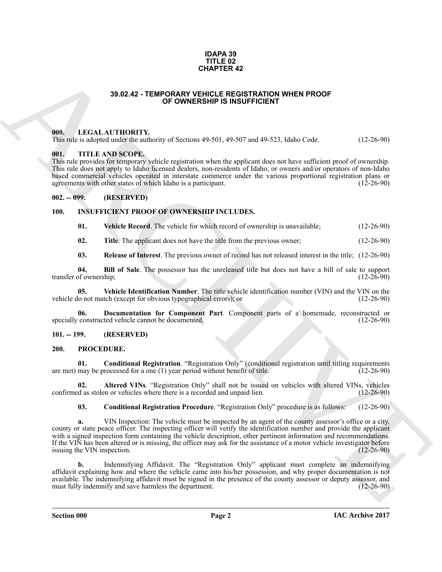#### **IDAPA 39 TITLE 02 CHAPTER 42**

#### **39.02.42 - TEMPORARY VEHICLE REGISTRATION WHEN PROOF OF OWNERSHIP IS INSUFFICIENT**

#### <span id="page-1-1"></span><span id="page-1-0"></span>**000. LEGAL AUTHORITY.**

This rule is adopted under the authority of Sections 49-501, 49-507 and 49-523, Idaho Code. (12-26-90)

#### <span id="page-1-2"></span>**001. TITLE AND SCOPE.**

This rule provides for temporary vehicle registration when the applicant does not have sufficient proof of ownership. This rule does not apply to Idaho licensed dealers, non-residents of Idaho; or owners and/or operators of non-Idaho based commercial vehicles operated in interstate commerce under the various proportional registration plans or agreements with other states of which Idaho is a participant. (12-26-90) agreements with other states of which Idaho is a participant.

#### <span id="page-1-3"></span>**002. -- 099. (RESERVED)**

#### <span id="page-1-4"></span>**100. INSUFFICIENT PROOF OF OWNERSHIP INCLUDES.**

<span id="page-1-12"></span><span id="page-1-7"></span>**01. Vehicle Record**. The vehicle for which record of ownership is unavailable; (12-26-90)

<span id="page-1-10"></span><span id="page-1-9"></span>**02.** Title. The applicant does not have the title from the previous owner; (12-26-90)

<span id="page-1-11"></span>**03. Release of Interest**. The previous owner of record has not released interest in the title; (12-26-90)

**04. Bill of Sale**. The possessor has the unreleased title but does not have a bill of sale to support of ownership: (12-26-90) transfer of ownership;

**05. Vehicle Identification Number**. The title vehicle identification number (VIN) and the VIN on the vehicle do not match (except for obvious typographical errors); or (12-26-90)

<span id="page-1-8"></span>**06.** Documentation for Component Part. Component parts of a homemade, reconstructed or constructed vehicle cannot be documented. (12-26-90) specially constructed vehicle cannot be documented.

#### <span id="page-1-5"></span>**101. -- 199. (RESERVED)**

#### <span id="page-1-13"></span><span id="page-1-6"></span>**200. PROCEDURE.**

<span id="page-1-15"></span>**01. Conditional Registration**. "Registration Only" (conditional registration until titling requirements may be processed for a one (1) year period without benefit of title. (12-26-90) are met) may be processed for a one  $(1)$  year period without benefit of title.

**02. Altered VINs**. "Registration Only" shall not be issued on vehicles with altered VINs, vehicles d as stolen or vehicles where there is a recorded and unpaid lien. (12-26-90) confirmed as stolen or vehicles where there is a recorded and unpaid lien.

<span id="page-1-16"></span><span id="page-1-14"></span>**03. Conditional Registration Procedure**. "Registration Only" procedure is as follows: (12-26-90)

**33.02.42 - TEMPORATY.** (**ARPIER 42**<br> **33.02.42 - TEMPORATY** OF OWNERSHIP IS INSUFFICIENT PROOF<br> **ARCHIVE CONTINUOS** of Section 40-501, 40-507 and 40-72, lablo Uxd. (12-70-91)<br>
(**B)**, 4 TELA AND SCOPE,<br> **CONTINUOS** of CON **a.** VIN Inspection: The vehicle must be inspected by an agent of the county assessor's office or a city, county or state peace officer. The inspecting officer will verify the identification number and provide the applicant with a signed inspection form containing the vehicle description, other pertinent information and recommendations. If the VIN has been altered or is missing, the officer may ask for the assistance of a motor vehicle investigator before issuing the VIN inspection.  $(12-26-90)$ 

**b.** Indemnifying Affidavit. The "Registration Only" applicant must complete an indemnifying affidavit explaining how and where the vehicle came into his/her possession, and why proper documentation is not available. The indemnifying affidavit must be signed in the presence of the county assessor or deputy assessor, and must fully indemnify and save harmless the department.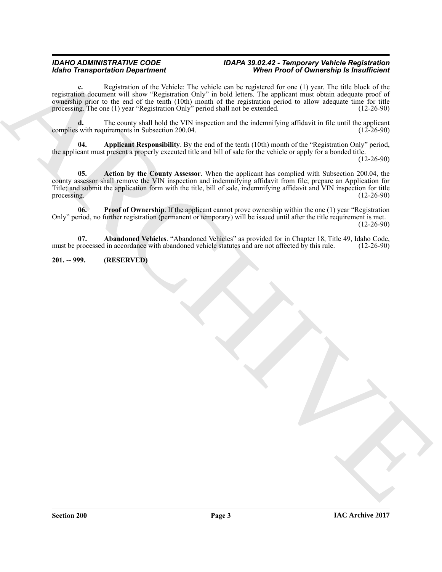#### *IDAHO ADMINISTRATIVE CODE IDAPA 39.02.42 - Temporary Vehicle Registration When Proof of Ownership Is Insufficient*

**c.** Registration of the Vehicle: The vehicle can be registered for one (1) year. The title block of the registration document will show "Registration Only" in bold letters. The applicant must obtain adequate proof of ownership prior to the end of the tenth (10th) month of the registration period to allow adequate time for title processing. The one (1) year "Registration Only" period shall not be extended. (12-26-90) processing. The one  $(1)$  year "Registration Only" period shall not be extended.

**d.** The county shall hold the VIN inspection and the indemnifying affidavit in file until the applicant with requirements in Subsection 200.04. (12-26-90) complies with requirements in Subsection 200.04.

<span id="page-2-3"></span><span id="page-2-2"></span>**04. Applicant Responsibility**. By the end of the tenth (10th) month of the "Registration Only" period, the applicant must present a properly executed title and bill of sale for the vehicle or apply for a bonded title.

(12-26-90)

Model Transportation Department in Wales and the United States of Osciological Research Containers and the material of the state of Osciological Research Containers and the material of the state of the state of the state **05. Action by the County Assessor**. When the applicant has complied with Subsection 200.04, the county assessor shall remove the VIN inspection and indemnifying affidavit from file; prepare an Application for Title; and submit the application form with the title, bill of sale, indemnifying affidavit and VIN inspection for title processing.  $(12-26-90)$ 

<span id="page-2-4"></span>**06.** Proof of Ownership. If the applicant cannot prove ownership within the one (1) year "Registration" Only" period, no further registration (permanent or temporary) will be issued until after the title requirement is met. (12-26-90)

<span id="page-2-1"></span>**07. Abandoned Vehicles**. "Abandoned Vehicles" as provided for in Chapter 18, Title 49, Idaho Code, processed in accordance with abandoned vehicle statutes and are not affected by this rule. (12-26-90) must be processed in accordance with abandoned vehicle statutes and are not affected by this rule.

### <span id="page-2-0"></span>**201. -- 999. (RESERVED)**